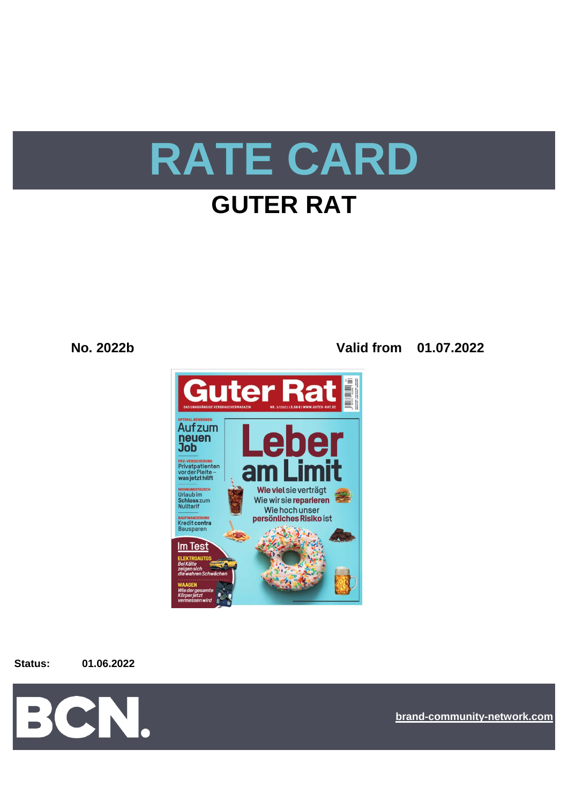

# **GUTER RAT**

**No. 2022b Valid from 01.07.2022**



**Status: 01.06.2022**



**[bra](https://bcn.burda.com/)nd-community-network.com**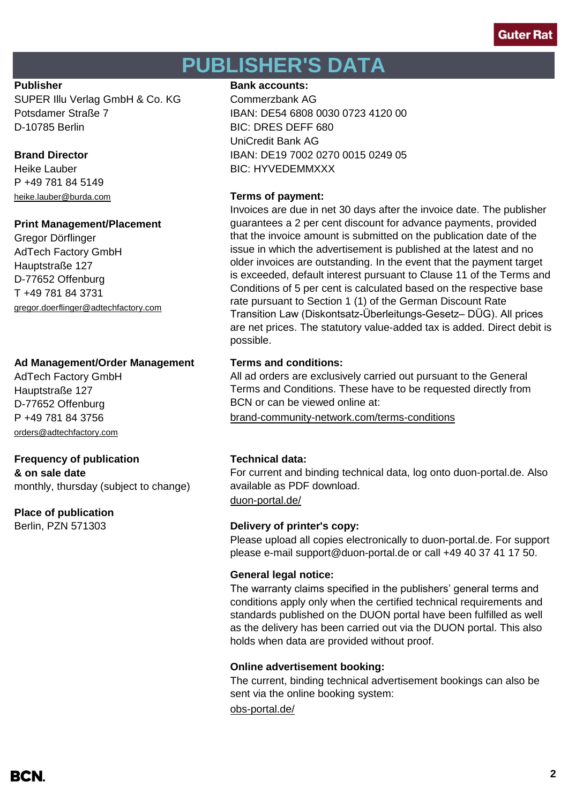# **PUBLISHER'S DATA**

SUPER Illu Verlag GmbH & Co. KG Commerzbank AG D-10785 Berlin BIC: DRES DEFF 680

P +49 781 84 5149 [heike.lauber@burda.com](mailto:heike.lauber@burda.com) **Terms of payment:**

## **Print Management/Placement**

Gregor Dörflinger AdTech Factory GmbH Hauptstraße 127 D-77652 Offenburg T +49 781 84 3731 [gregor.doerflinger@adtechfactory.com](mailto:gregor.doerflinger@adtechfactory.com)

# **Ad Management/Order Management Terms and conditions:**

AdTech Factory GmbH Hauptstraße 127 D-77652 Offenburg [orders@adtechfactory.com](mailto:orders@adtechfactory.com)

# **Frequency of publication Technical data:**

**& on sale date** monthly, thursday (subject to change)

# **Place of publication**

## **Publisher Bank accounts: Bank accounts:**

Potsdamer Straße 7 IBAN: DE54 6808 0030 0723 4120 00 UniCredit Bank AG **Brand Director IBAN: DE19 7002 0270 0015 0249 05** Heike Lauber **BIC: HYVEDEMMXXX** 

Invoices are due in net 30 days after the invoice date. The publisher guarantees a 2 per cent discount for advance payments, provided that the invoice amount is submitted on the publication date of the issue in which the advertisement is published at the latest and no older invoices are outstanding. In the event that the payment target is exceeded, default interest pursuant to Clause 11 of the Terms and Conditions of 5 per cent is calculated based on the respective base rate pursuant to Section 1 (1) of the German Discount Rate Transition Law (Diskontsatz-Überleitungs-Gesetz– DÜG). All prices are net prices. The statutory value-added tax is added. Direct debit is possible.

All ad orders are exclusively carried out pursuant to the General Terms and Conditions. These have to be requested directly from BCN or can be viewed online at:

P +49 781 84 3756 [brand-community-network.com/terms-conditions](https://bcn.burda.com/terms-conditions)

For current and binding technical data, log onto duon-portal.de. Also available as PDF download.

[duon-portal.de/](https://duon-portal.de/)

# Berlin, PZN 571303 **Delivery of printer's copy:**

Please upload all copies electronically to duon-portal.de. For support please e-mail support@duon-portal.de or call +49 40 37 41 17 50.

## **General legal notice:**

The warranty claims specified in the publishers' general terms and conditions apply only when the certified technical requirements and standards published on the DUON portal have been fulfilled as well as the delivery has been carried out via the DUON portal. This also holds when data are provided without proof.

# **Online advertisement booking:**

The current, binding technical advertisement bookings can also be sent via the online booking system:

[obs-portal.de/](https://www.obs-portal.de/)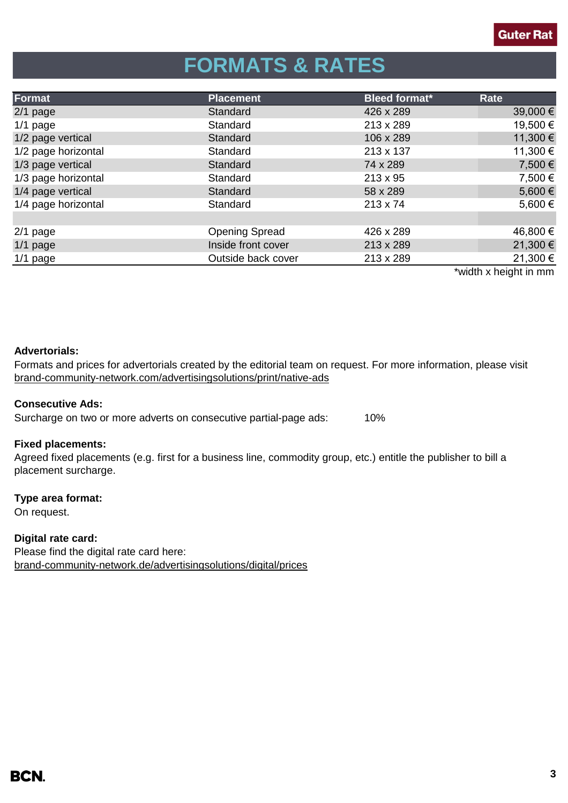# **FORMATS & RATES**

| Format              | <b>Placement</b>      | <b>Bleed format*</b> | Rate     |
|---------------------|-----------------------|----------------------|----------|
| $2/1$ page          | Standard              | 426 x 289            | 39,000€  |
| $1/1$ page          | Standard              | 213 x 289            | 19,500 € |
| 1/2 page vertical   | Standard              | 106 x 289            | 11,300 € |
| 1/2 page horizontal | Standard              | 213 x 137            | 11,300 € |
| 1/3 page vertical   | Standard              | 74 x 289             | 7,500 €  |
| 1/3 page horizontal | Standard              | $213 \times 95$      | 7,500 €  |
| 1/4 page vertical   | Standard              | 58 x 289             | 5,600€   |
| 1/4 page horizontal | Standard              | $213 \times 74$      | 5,600€   |
|                     |                       |                      |          |
| $2/1$ page          | <b>Opening Spread</b> | 426 x 289            | 46,800 € |
| $1/1$ page          | Inside front cover    | 213 x 289            | 21,300 € |
| $1/1$ page          | Outside back cover    | 213 x 289            | 21,300 € |
|                     |                       |                      | $*$      |

width x height in mm

## **Advertorials:**

[brand-community-network.com/advertisin](https://bcn.burda.com/advertisingsolutions/print/native-ads)gsolutions/print/native-ads Formats and prices for advertorials created by the editorial team on request. For more information, please visit

## **Consecutive Ads:**

Surcharge on two or more adverts on consecutive partial-page ads: 10%

## **Fixed placements:**

Agreed fixed placements (e.g. first for a business line, commodity group, etc.) entitle the publisher to bill a placement surcharge.

## **Type area format:**

On request.

**Digital rate card:** Please find the digital rate card here: [brand-community-network.de/advertisingsolutions/digital/prices](https://bcn.burda.com/advertisingsolutions/digital/prices)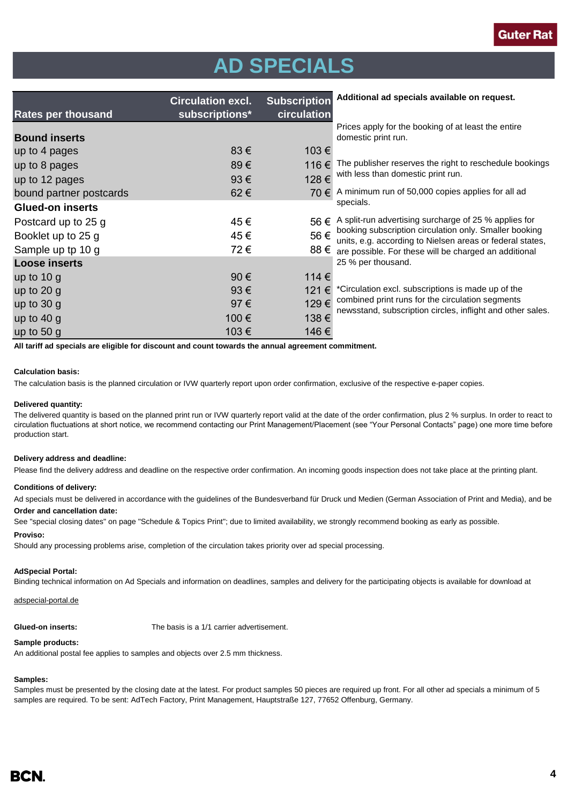# **AD SPECIALS**

| <b>Rates per thousand</b> | <b>Circulation excl.</b><br>subscriptions* | <b>Subscription</b><br>circulation | Additional ad specials available on request.                                                                                                                                                                                                                       |  |
|---------------------------|--------------------------------------------|------------------------------------|--------------------------------------------------------------------------------------------------------------------------------------------------------------------------------------------------------------------------------------------------------------------|--|
| <b>Bound inserts</b>      |                                            |                                    | Prices apply for the booking of at least the entire<br>domestic print run.                                                                                                                                                                                         |  |
| up to 4 pages             | $83 \in$                                   | 103€                               |                                                                                                                                                                                                                                                                    |  |
| up to 8 pages             | 89€                                        | 116€                               | The publisher reserves the right to reschedule bookings<br>with less than domestic print run.                                                                                                                                                                      |  |
| up to 12 pages            | 93€                                        | 128€                               |                                                                                                                                                                                                                                                                    |  |
| bound partner postcards   | 62€                                        | 70 €                               | A minimum run of 50,000 copies applies for all ad                                                                                                                                                                                                                  |  |
| <b>Glued-on inserts</b>   |                                            |                                    | specials.                                                                                                                                                                                                                                                          |  |
| Postcard up to 25 g       | 45€                                        | 56€                                | A split-run advertising surcharge of 25 % applies for<br>booking subscription circulation only. Smaller booking<br>units, e.g. according to Nielsen areas or federal states,<br>88 $€$ are possible. For these will be charged an additional<br>25 % per thousand. |  |
| Booklet up to 25 g        | 45€                                        | 56€                                |                                                                                                                                                                                                                                                                    |  |
| Sample up tp 10 g         | 72€                                        |                                    |                                                                                                                                                                                                                                                                    |  |
| <b>Loose inserts</b>      |                                            |                                    |                                                                                                                                                                                                                                                                    |  |
| up to $10 g$              | $90 \in$                                   | 114 €                              |                                                                                                                                                                                                                                                                    |  |
| up to $20 g$              | $93 \in$                                   | 121 €                              | *Circulation excl. subscriptions is made up of the<br>combined print runs for the circulation segments<br>newsstand, subscription circles, inflight and other sales.                                                                                               |  |
| up to $30 g$              | 97€                                        | 129€                               |                                                                                                                                                                                                                                                                    |  |
| up to $40 g$              | 100€                                       | 138€                               |                                                                                                                                                                                                                                                                    |  |
| up to 50 g                | 103€                                       | 146€                               |                                                                                                                                                                                                                                                                    |  |

**All tariff ad specials are eligible for discount and count towards the annual agreement commitment.**

### **Calculation basis:**

The calculation basis is the planned circulation or IVW quarterly report upon order confirmation, exclusive of the respective e-paper copies.

### **Delivered quantity:**

The delivered quantity is based on the planned print run or IVW quarterly report valid at the date of the order confirmation, plus 2 % surplus. In order to react to circulation fluctuations at short notice, we recommend contacting our Print Management/Placement (see "Your Personal Contacts" page) one more time before production start.

### **Delivery address and deadline:**

Please find the delivery address and deadline on the respective order confirmation. An incoming goods inspection does not take place at the printing plant.

### **Conditions of delivery:**

**Order and cancellation date:** clearly material must be delivered, carried, to the address where it will be processed. The processed of the address where it will be processed. The address where it will be processed. The pr Ad specials must be delivered in accordance with the guidelines of the Bundesverband für Druck und Medien (German Association of Print and Media), and be

See "special closing dates" on page "Schedule & Topics Print"; due to limited availability, we strongly recommend booking as early as possible.

### **Proviso:**

Should any processing problems arise, completion of the circulation takes priority over ad special processing.

### **AdSpecial Portal:**

Binding technical information on Ad Specials and information on deadlines, samples and delivery for the participating objects is available for download at

### adspecial-portal.de

**Glued-on inserts:** The basis is a 1/1 carrier advertisement.

### **Sample products:**

An additional postal fee applies to samples and objects over 2.5 mm thickness.

### **Samples:**

Samples must be presented by the closing date at the latest. For product samples 50 pieces are required up front. For all other ad specials a minimum of 5 samples are required. To be sent: AdTech Factory, Print Management, Hauptstraße 127, 77652 Offenburg, Germany.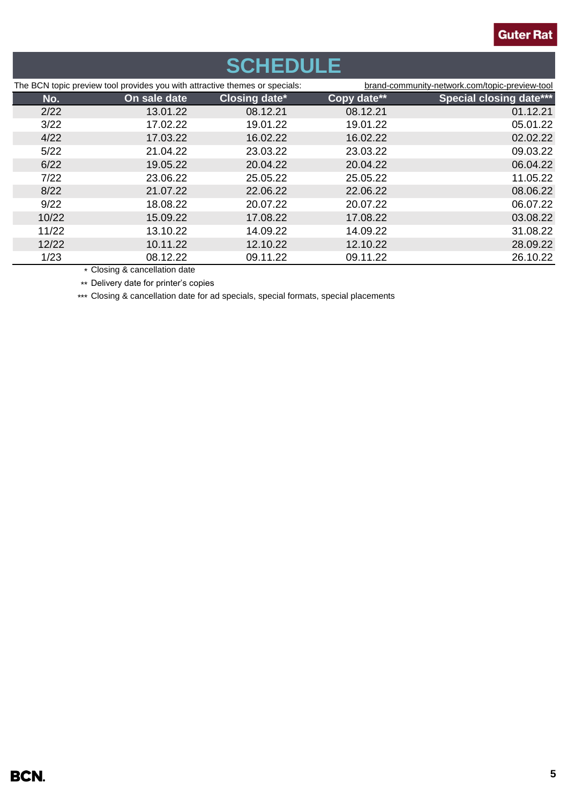# **SCHEDULE**

| The BCN topic preview tool provides you with attractive themes or specials: |              | brand-community-network.com/topic-preview-tool |             |                                |
|-----------------------------------------------------------------------------|--------------|------------------------------------------------|-------------|--------------------------------|
| No.                                                                         | On sale date | <b>Closing date*</b>                           | Copy date** | <b>Special closing date***</b> |
| 2/22                                                                        | 13.01.22     | 08.12.21                                       | 08.12.21    | 01.12.21                       |
| 3/22                                                                        | 17.02.22     | 19.01.22                                       | 19.01.22    | 05.01.22                       |
| 4/22                                                                        | 17.03.22     | 16.02.22                                       | 16.02.22    | 02.02.22                       |
| 5/22                                                                        | 21.04.22     | 23.03.22                                       | 23.03.22    | 09.03.22                       |
| 6/22                                                                        | 19.05.22     | 20.04.22                                       | 20.04.22    | 06.04.22                       |
| 7/22                                                                        | 23.06.22     | 25.05.22                                       | 25.05.22    | 11.05.22                       |
| 8/22                                                                        | 21.07.22     | 22.06.22                                       | 22.06.22    | 08.06.22                       |
| 9/22                                                                        | 18.08.22     | 20.07.22                                       | 20.07.22    | 06.07.22                       |
| 10/22                                                                       | 15.09.22     | 17.08.22                                       | 17.08.22    | 03.08.22                       |
| 11/22                                                                       | 13.10.22     | 14.09.22                                       | 14.09.22    | 31.08.22                       |
| 12/22                                                                       | 10.11.22     | 12.10.22                                       | 12.10.22    | 28.09.22                       |
| 1/23                                                                        | 08.12.22     | 09.11.22                                       | 09.11.22    | 26.10.22                       |

\* Closing & cancellation date \*\* Delivery date for printer's copies

\*\*\* Closing & cancellation date for ad specials, special formats, special placements